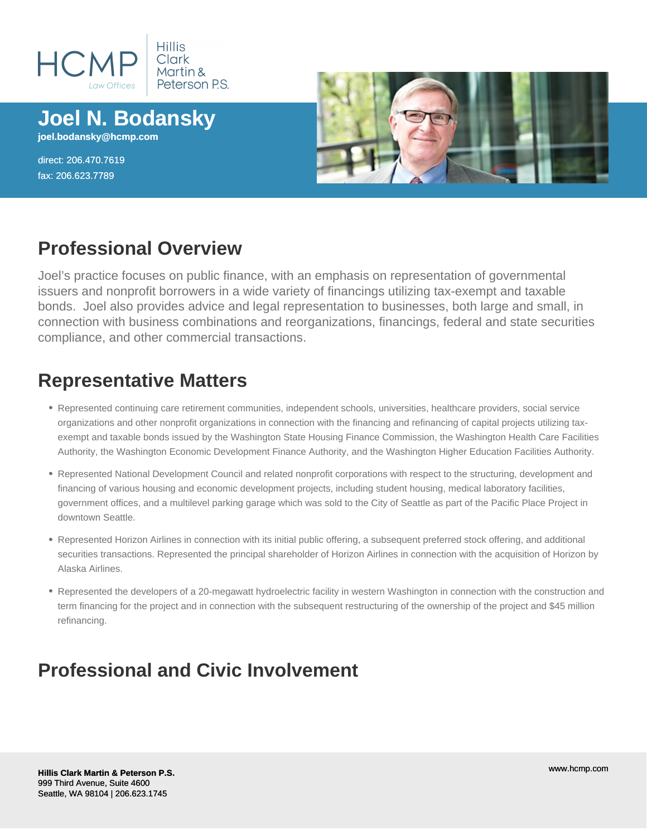

**Joel N. Bodansky joel.bodansky@hcmp.com**

direct: 206.470.7619 fax: 206.623.7789



#### **Professional Overview**

Joel's practice focuses on public finance, with an emphasis on representation of governmental issuers and nonprofit borrowers in a wide variety of financings utilizing tax-exempt and taxable bonds. Joel also provides advice and legal representation to businesses, both large and small, in connection with business combinations and reorganizations, financings, federal and state securities compliance, and other commercial transactions.

## **Representative Matters**

- Represented continuing care retirement communities, independent schools, universities, healthcare providers, social service organizations and other nonprofit organizations in connection with the financing and refinancing of capital projects utilizing taxexempt and taxable bonds issued by the Washington State Housing Finance Commission, the Washington Health Care Facilities Authority, the Washington Economic Development Finance Authority, and the Washington Higher Education Facilities Authority.
- Represented National Development Council and related nonprofit corporations with respect to the structuring, development and financing of various housing and economic development projects, including student housing, medical laboratory facilities, government offices, and a multilevel parking garage which was sold to the City of Seattle as part of the Pacific Place Project in downtown Seattle.
- Represented Horizon Airlines in connection with its initial public offering, a subsequent preferred stock offering, and additional securities transactions. Represented the principal shareholder of Horizon Airlines in connection with the acquisition of Horizon by Alaska Airlines.
- Represented the developers of a 20-megawatt hydroelectric facility in western Washington in connection with the construction and term financing for the project and in connection with the subsequent restructuring of the ownership of the project and \$45 million refinancing.

## **Professional and Civic Involvement**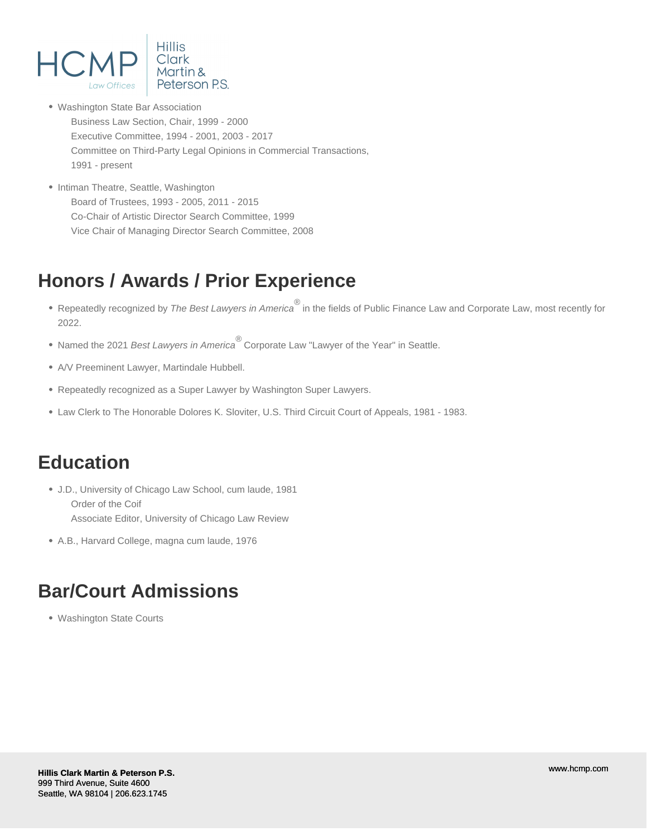

- Washington State Bar Association Business Law Section, Chair, 1999 - 2000 Executive Committee, 1994 - 2001, 2003 - 2017 Committee on Third-Party Legal Opinions in Commercial Transactions, 1991 - present
- Intiman Theatre, Seattle, Washington Board of Trustees, 1993 - 2005, 2011 - 2015 Co-Chair of Artistic Director Search Committee, 1999 Vice Chair of Managing Director Search Committee, 2008

# **Honors / Awards / Prior Experience**

- Repeatedly recognized by *The Best Lawyers in America*<sup>®</sup> in the fields of Public Finance Law and Corporate Law, most recently for 2022.
- Named the 2021 Best Lawyers in America<sup>®</sup> Corporate Law "Lawyer of the Year" in Seattle.
- A/V Preeminent Lawyer, Martindale Hubbell.
- Repeatedly recognized as a Super Lawyer by Washington Super Lawyers.
- Law Clerk to The Honorable Dolores K. Sloviter, U.S. Third Circuit Court of Appeals, 1981 1983.

## **Education**

- J.D., University of Chicago Law School, cum laude, 1981 Order of the Coif Associate Editor, University of Chicago Law Review
- A.B., Harvard College, magna cum laude, 1976

## **Bar/Court Admissions**

Washington State Courts